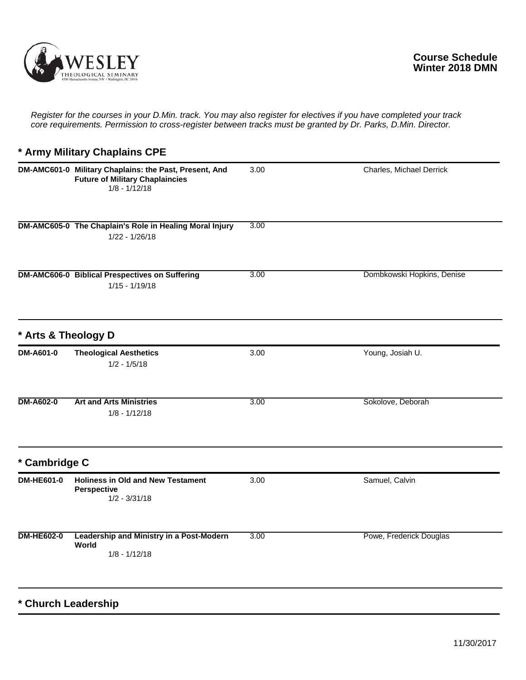

*Register for the courses in your D.Min. track. You may also register for electives if you have completed your track core requirements. Permission to cross-register between tracks must be granted by Dr. Parks, D.Min. Director.*

## **\* Army Military Chaplains CPE**

|                     | DM-AMC601-0 Military Chaplains: the Past, Present, And<br><b>Future of Military Chaplaincies</b><br>$1/8 - 1/12/18$ | 3.00 | Charles, Michael Derrick   |
|---------------------|---------------------------------------------------------------------------------------------------------------------|------|----------------------------|
|                     | DM-AMC605-0 The Chaplain's Role in Healing Moral Injury<br>$1/22 - 1/26/18$                                         | 3.00 |                            |
|                     | <b>DM-AMC606-0 Biblical Prespectives on Suffering</b><br>$1/15 - 1/19/18$                                           | 3.00 | Dombkowski Hopkins, Denise |
| * Arts & Theology D |                                                                                                                     |      |                            |
| <b>DM-A601-0</b>    | <b>Theological Aesthetics</b><br>$1/2 - 1/5/18$                                                                     | 3.00 | Young, Josiah U.           |
| <b>DM-A602-0</b>    | <b>Art and Arts Ministries</b><br>$1/8 - 1/12/18$                                                                   | 3.00 | Sokolove, Deborah          |
| * Cambridge C       |                                                                                                                     |      |                            |
| <b>DM-HE601-0</b>   | <b>Holiness in Old and New Testament</b><br>Perspective<br>$1/2 - 3/31/18$                                          | 3.00 | Samuel, Calvin             |
| <b>DM-HE602-0</b>   | Leadership and Ministry in a Post-Modern<br>World<br>$1/8 - 1/12/18$                                                | 3.00 | Powe, Frederick Douglas    |

**\* Church Leadership**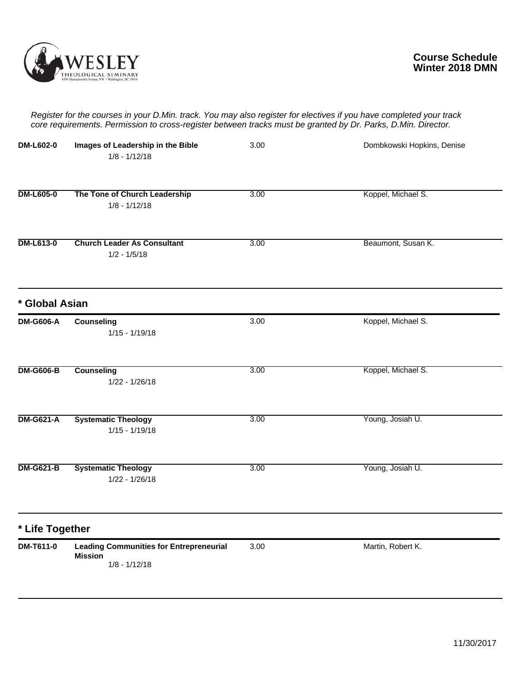

*Register for the courses in your D.Min. track. You may also register for electives if you have completed your track core requirements. Permission to cross-register between tracks must be granted by Dr. Parks, D.Min. Director.*

| <b>DM-L602-0</b> | Images of Leadership in the Bible<br>$1/8 - 1/12/18$                                | 3.00 | Dombkowski Hopkins, Denise |
|------------------|-------------------------------------------------------------------------------------|------|----------------------------|
| <b>DM-L605-0</b> | The Tone of Church Leadership<br>$1/8 - 1/12/18$                                    | 3.00 | Koppel, Michael S.         |
| <b>DM-L613-0</b> | <b>Church Leader As Consultant</b><br>$1/2 - 1/5/18$                                | 3.00 | Beaumont, Susan K.         |
| * Global Asian   |                                                                                     |      |                            |
| <b>DM-G606-A</b> | Counseling<br>$1/15 - 1/19/18$                                                      | 3.00 | Koppel, Michael S.         |
| <b>DM-G606-B</b> | <b>Counseling</b><br>$1/22 - 1/26/18$                                               | 3.00 | Koppel, Michael S.         |
| <b>DM-G621-A</b> | <b>Systematic Theology</b><br>$1/15 - 1/19/18$                                      | 3.00 | Young, Josiah U.           |
| <b>DM-G621-B</b> | <b>Systematic Theology</b><br>$1/22 - 1/26/18$                                      | 3.00 | Young, Josiah U.           |
| * Life Together  |                                                                                     |      |                            |
| DM-T611-0        | <b>Leading Communities for Entrepreneurial</b><br><b>Mission</b><br>$1/8 - 1/12/18$ | 3.00 | Martin, Robert K.          |